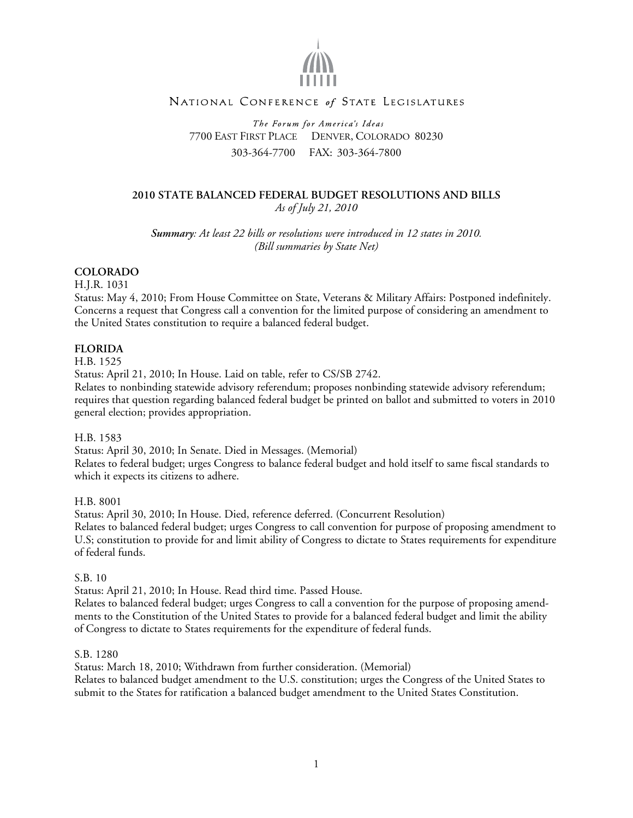

# NATIONAL CONFERENCE of STATE LEGISLATURES

The Forum for America's Ideas 7700 EAST FIRST PLACE DENVER, COLORADO 80230 303-364-7700 FAX: 303-364-7800

### **2010 STATE BALANCED FEDERAL BUDGET RESOLUTIONS AND BILLS**  *As of July 21, 2010*

*Summary: At least 22 bills or resolutions were introduced in 12 states in 2010. (Bill summaries by State Net)* 

## **COLORADO**

H.J.R. 1031

Status: May 4, 2010; From House Committee on State, Veterans & Military Affairs: Postponed indefinitely. Concerns a request that Congress call a convention for the limited purpose of considering an amendment to the United States constitution to require a balanced federal budget.

## **FLORIDA**

H.B. 1525

Status: April 21, 2010; In House. Laid on table, refer to CS/SB 2742.

Relates to nonbinding statewide advisory referendum; proposes nonbinding statewide advisory referendum; requires that question regarding balanced federal budget be printed on ballot and submitted to voters in 2010 general election; provides appropriation.

H.B. 1583

Status: April 30, 2010; In Senate. Died in Messages. (Memorial) Relates to federal budget; urges Congress to balance federal budget and hold itself to same fiscal standards to which it expects its citizens to adhere.

H.B. 8001

Status: April 30, 2010; In House. Died, reference deferred. (Concurrent Resolution) Relates to balanced federal budget; urges Congress to call convention for purpose of proposing amendment to U.S; constitution to provide for and limit ability of Congress to dictate to States requirements for expenditure of federal funds.

### S.B. 10

Status: April 21, 2010; In House. Read third time. Passed House.

Relates to balanced federal budget; urges Congress to call a convention for the purpose of proposing amendments to the Constitution of the United States to provide for a balanced federal budget and limit the ability of Congress to dictate to States requirements for the expenditure of federal funds.

### S.B. 1280

Status: March 18, 2010; Withdrawn from further consideration. (Memorial) Relates to balanced budget amendment to the U.S. constitution; urges the Congress of the United States to submit to the States for ratification a balanced budget amendment to the United States Constitution.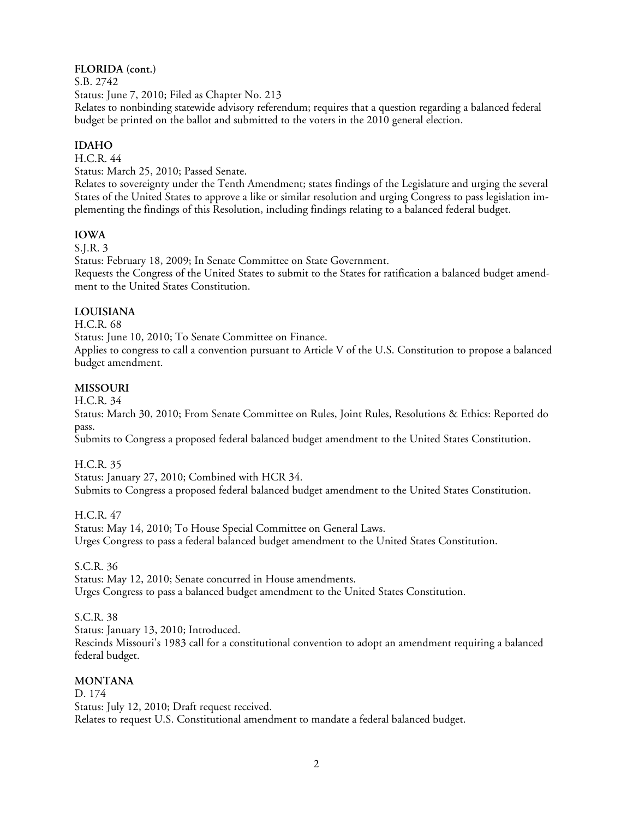# **FLORIDA (cont.)**

S.B. 2742

Status: June 7, 2010; Filed as Chapter No. 213

Relates to nonbinding statewide advisory referendum; requires that a question regarding a balanced federal budget be printed on the ballot and submitted to the voters in the 2010 general election.

# **IDAHO**

H.C.R. 44

Status: March 25, 2010; Passed Senate.

Relates to sovereignty under the Tenth Amendment; states findings of the Legislature and urging the several States of the United States to approve a like or similar resolution and urging Congress to pass legislation implementing the findings of this Resolution, including findings relating to a balanced federal budget.

## **IOWA**

S.J.R. 3

Status: February 18, 2009; In Senate Committee on State Government. Requests the Congress of the United States to submit to the States for ratification a balanced budget amendment to the United States Constitution.

## **LOUISIANA**

H.C.R. 68

Status: June 10, 2010; To Senate Committee on Finance.

Applies to congress to call a convention pursuant to Article V of the U.S. Constitution to propose a balanced budget amendment.

## **MISSOURI**

H.C.R. 34

Status: March 30, 2010; From Senate Committee on Rules, Joint Rules, Resolutions & Ethics: Reported do pass.

Submits to Congress a proposed federal balanced budget amendment to the United States Constitution.

H.C.R. 35

Status: January 27, 2010; Combined with HCR 34. Submits to Congress a proposed federal balanced budget amendment to the United States Constitution.

### H.C.R. 47

Status: May 14, 2010; To House Special Committee on General Laws. Urges Congress to pass a federal balanced budget amendment to the United States Constitution.

S.C.R. 36

Status: May 12, 2010; Senate concurred in House amendments. Urges Congress to pass a balanced budget amendment to the United States Constitution.

### S.C.R. 38

Status: January 13, 2010; Introduced.

Rescinds Missouri's 1983 call for a constitutional convention to adopt an amendment requiring a balanced federal budget.

## **MONTANA**

D. 174 Status: July 12, 2010; Draft request received. Relates to request U.S. Constitutional amendment to mandate a federal balanced budget.